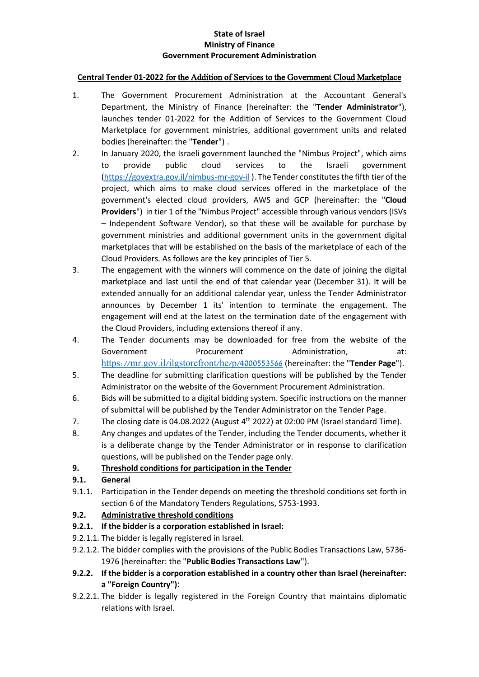#### **State of Israel Ministry of Finance Government Procurement Administration**

### **Central Tender 01-2022** for the Addition of Services to the Government Cloud Marketplace

- 1. The Government Procurement Administration at the Accountant General's Department, the Ministry of Finance (hereinafter: the "**Tender Administrator**"), launches tender 01-2022 for the Addition of Services to the Government Cloud Marketplace for government ministries, additional government units and related bodies (hereinafter: the "**Tender**") .
- 2. In January 2020, the Israeli government launched the "Nimbus Project", which aims to provide public cloud services to the Israeli government [\(https://govextra.gov.il/nimbus-mr-gov-il](https://govextra.gov.il/nimbus-mr-gov-il) ). The Tender constitutes the fifth tier of the project, which aims to make cloud services offered in the marketplace of the government's elected cloud providers, AWS and GCP (hereinafter: the "**Cloud Providers**") in tier 1 of the "Nimbus Project" accessible through various vendors (ISVs – Independent Software Vendor), so that these will be available for purchase by government ministries and additional government units in the government digital marketplaces that will be established on the basis of the marketplace of each of the Cloud Providers. As follows are the key principles of Tier 5.
- 3. The engagement with the winners will commence on the date of joining the digital marketplace and last until the end of that calendar year (December 31). It will be extended annually for an additional calendar year, unless the Tender Administrator announces by December 1 its' intention to terminate the engagement. The engagement will end at the latest on the termination date of the engagement with the Cloud Providers, including extensions thereof if any.
- 4. The Tender documents may be downloaded for free from the website of the Government Procurement Administration, at: <https://mr.gov.il/ilgstorefront/he/p/4000553566> (hereinafter: the "**Tender Page**").
- 5. The deadline for submitting clarification questions will be published by the Tender Administrator on the website of the Government Procurement Administration.
- 6. Bids will be submitted to a digital bidding system. Specific instructions on the manner of submittal will be published by the Tender Administrator on the Tender Page.
- 7. The closing date is 04.08.2022 (August 4th 2022) at 02:00 PM (Israel standard Time).
- 8. Any changes and updates of the Tender, including the Tender documents, whether it is a deliberate change by the Tender Administrator or in response to clarification questions, will be published on the Tender page only.

## **9. Threshold conditions for participation in the Tender**

## **9.1. General**

9.1.1. Participation in the Tender depends on meeting the threshold conditions set forth in section 6 of the Mandatory Tenders Regulations, 5753-1993.

# **9.2. Administrative threshold conditions**

- **9.2.1. If the bidder is a corporation established in Israel:**
- 9.2.1.1. The bidder is legally registered in Israel.
- 9.2.1.2. The bidder complies with the provisions of the Public Bodies Transactions Law, 5736- 1976 (hereinafter: the "**Public Bodies Transactions Law**").
- **9.2.2. If the bidder is a corporation established in a country other than Israel (hereinafter: a "Foreign Country"):**
- 9.2.2.1. The bidder is legally registered in the Foreign Country that maintains diplomatic relations with Israel.